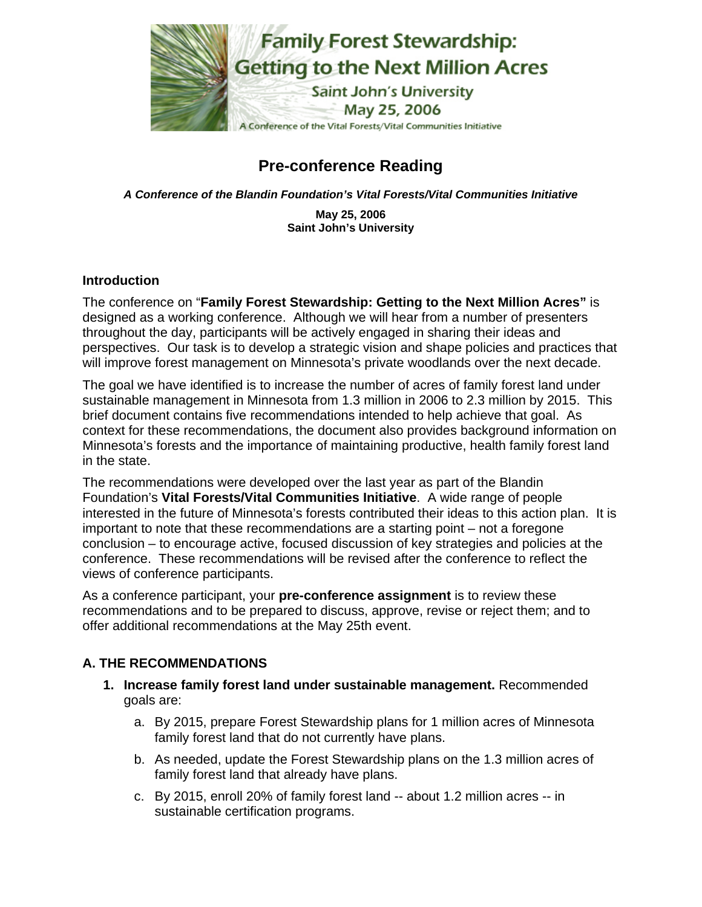

# **Pre-conference Reading**

*A Conference of the Blandin Foundation's Vital Forests/Vital Communities Initiative* 

**May 25, 2006 Saint John's University**

### **Introduction**

The conference on "**Family Forest Stewardship: Getting to the Next Million Acres"** is designed as a working conference. Although we will hear from a number of presenters throughout the day, participants will be actively engaged in sharing their ideas and perspectives. Our task is to develop a strategic vision and shape policies and practices that will improve forest management on Minnesota's private woodlands over the next decade.

The goal we have identified is to increase the number of acres of family forest land under sustainable management in Minnesota from 1.3 million in 2006 to 2.3 million by 2015. This brief document contains five recommendations intended to help achieve that goal. As context for these recommendations, the document also provides background information on Minnesota's forests and the importance of maintaining productive, health family forest land in the state.

The recommendations were developed over the last year as part of the Blandin Foundation's **Vital Forests/Vital Communities Initiative**. A wide range of people interested in the future of Minnesota's forests contributed their ideas to this action plan. It is important to note that these recommendations are a starting point – not a foregone conclusion – to encourage active, focused discussion of key strategies and policies at the conference. These recommendations will be revised after the conference to reflect the views of conference participants.

As a conference participant, your **pre-conference assignment** is to review these recommendations and to be prepared to discuss, approve, revise or reject them; and to offer additional recommendations at the May 25th event.

## **A. THE RECOMMENDATIONS**

- **1. Increase family forest land under sustainable management.** Recommended goals are:
	- a. By 2015, prepare Forest Stewardship plans for 1 million acres of Minnesota family forest land that do not currently have plans.
	- b. As needed, update the Forest Stewardship plans on the 1.3 million acres of family forest land that already have plans.
	- c. By 2015, enroll 20% of family forest land -- about 1.2 million acres -- in sustainable certification programs.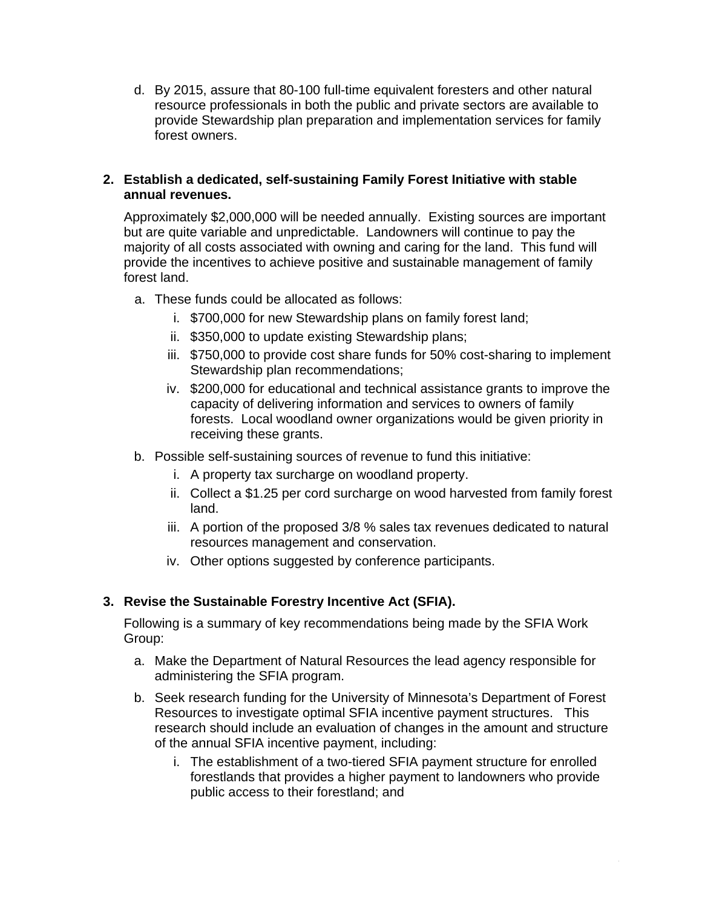d. By 2015, assure that 80-100 full-time equivalent foresters and other natural resource professionals in both the public and private sectors are available to provide Stewardship plan preparation and implementation services for family forest owners.

## **2. Establish a dedicated, self-sustaining Family Forest Initiative with stable annual revenues.**

Approximately \$2,000,000 will be needed annually. Existing sources are important but are quite variable and unpredictable. Landowners will continue to pay the majority of all costs associated with owning and caring for the land. This fund will provide the incentives to achieve positive and sustainable management of family forest land.

- a. These funds could be allocated as follows:
	- i. \$700,000 for new Stewardship plans on family forest land;
	- ii. \$350,000 to update existing Stewardship plans;
	- iii. \$750,000 to provide cost share funds for 50% cost-sharing to implement Stewardship plan recommendations;
	- iv. \$200,000 for educational and technical assistance grants to improve the capacity of delivering information and services to owners of family forests. Local woodland owner organizations would be given priority in receiving these grants.
- b. Possible self-sustaining sources of revenue to fund this initiative:
	- i. A property tax surcharge on woodland property.
	- ii. Collect a \$1.25 per cord surcharge on wood harvested from family forest land.
	- iii. A portion of the proposed 3/8 % sales tax revenues dedicated to natural resources management and conservation.
	- iv. Other options suggested by conference participants.

## **3. Revise the Sustainable Forestry Incentive Act (SFIA).**

Following is a summary of key recommendations being made by the SFIA Work Group:

- a. Make the Department of Natural Resources the lead agency responsible for administering the SFIA program.
- b. Seek research funding for the University of Minnesota's Department of Forest Resources to investigate optimal SFIA incentive payment structures. This research should include an evaluation of changes in the amount and structure of the annual SFIA incentive payment, including:
	- i. The establishment of a two-tiered SFIA payment structure for enrolled forestlands that provides a higher payment to landowners who provide public access to their forestland; and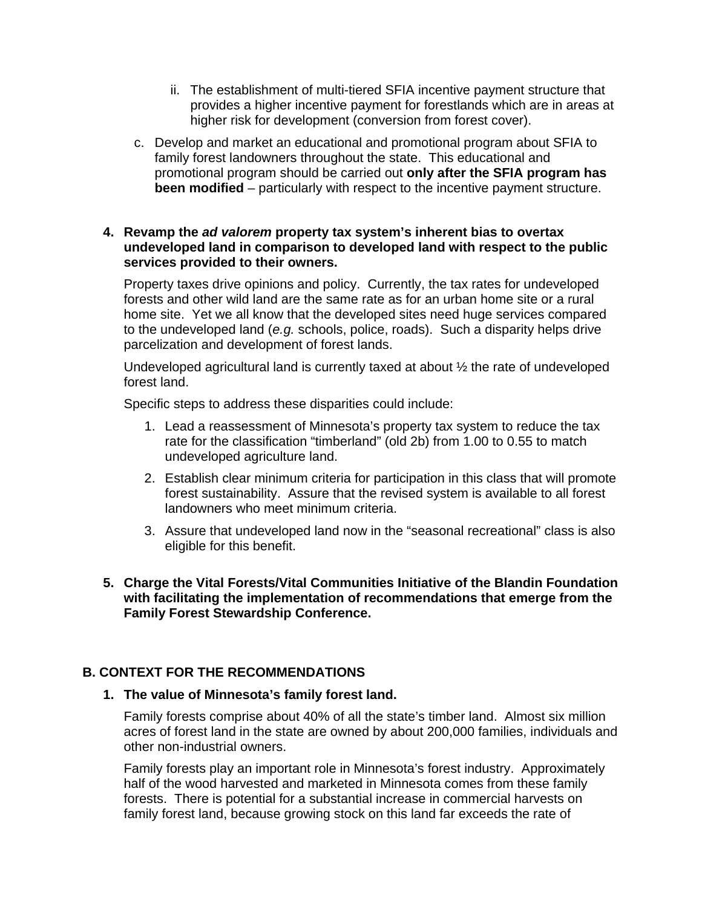- ii. The establishment of multi-tiered SFIA incentive payment structure that provides a higher incentive payment for forestlands which are in areas at higher risk for development (conversion from forest cover).
- c. Develop and market an educational and promotional program about SFIA to family forest landowners throughout the state. This educational and promotional program should be carried out **only after the SFIA program has been modified** – particularly with respect to the incentive payment structure.

#### **4. Revamp the** *ad valorem* **property tax system's inherent bias to overtax undeveloped land in comparison to developed land with respect to the public services provided to their owners.**

Property taxes drive opinions and policy. Currently, the tax rates for undeveloped forests and other wild land are the same rate as for an urban home site or a rural home site. Yet we all know that the developed sites need huge services compared to the undeveloped land (*e.g.* schools, police, roads). Such a disparity helps drive parcelization and development of forest lands.

Undeveloped agricultural land is currently taxed at about ½ the rate of undeveloped forest land.

Specific steps to address these disparities could include:

- 1. Lead a reassessment of Minnesota's property tax system to reduce the tax rate for the classification "timberland" (old 2b) from 1.00 to 0.55 to match undeveloped agriculture land.
- 2. Establish clear minimum criteria for participation in this class that will promote forest sustainability. Assure that the revised system is available to all forest landowners who meet minimum criteria.
- 3. Assure that undeveloped land now in the "seasonal recreational" class is also eligible for this benefit.
- **5. Charge the Vital Forests/Vital Communities Initiative of the Blandin Foundation with facilitating the implementation of recommendations that emerge from the Family Forest Stewardship Conference.**

## **B. CONTEXT FOR THE RECOMMENDATIONS**

#### **1. The value of Minnesota's family forest land.**

Family forests comprise about 40% of all the state's timber land. Almost six million acres of forest land in the state are owned by about 200,000 families, individuals and other non-industrial owners.

Family forests play an important role in Minnesota's forest industry. Approximately half of the wood harvested and marketed in Minnesota comes from these family forests. There is potential for a substantial increase in commercial harvests on family forest land, because growing stock on this land far exceeds the rate of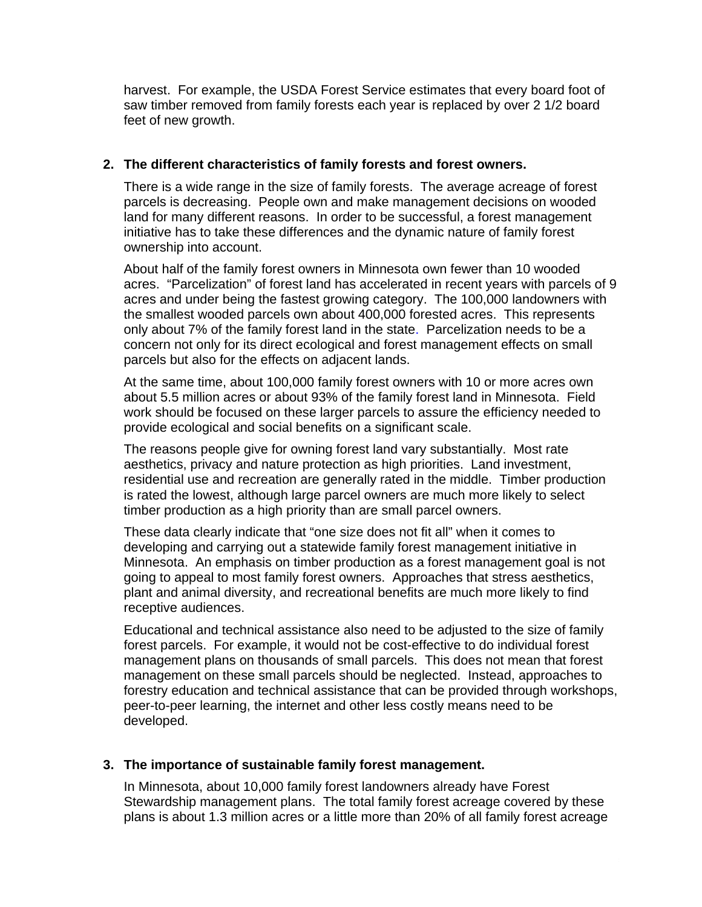harvest. For example, the USDA Forest Service estimates that every board foot of saw timber removed from family forests each year is replaced by over 2 1/2 board feet of new growth.

#### **2. The different characteristics of family forests and forest owners.**

There is a wide range in the size of family forests. The average acreage of forest parcels is decreasing. People own and make management decisions on wooded land for many different reasons. In order to be successful, a forest management initiative has to take these differences and the dynamic nature of family forest ownership into account.

About half of the family forest owners in Minnesota own fewer than 10 wooded acres. "Parcelization" of forest land has accelerated in recent years with parcels of 9 acres and under being the fastest growing category. The 100,000 landowners with the smallest wooded parcels own about 400,000 forested acres. This represents only about 7% of the family forest land in the state. Parcelization needs to be a concern not only for its direct ecological and forest management effects on small parcels but also for the effects on adjacent lands.

At the same time, about 100,000 family forest owners with 10 or more acres own about 5.5 million acres or about 93% of the family forest land in Minnesota. Field work should be focused on these larger parcels to assure the efficiency needed to provide ecological and social benefits on a significant scale.

The reasons people give for owning forest land vary substantially. Most rate aesthetics, privacy and nature protection as high priorities. Land investment, residential use and recreation are generally rated in the middle. Timber production is rated the lowest, although large parcel owners are much more likely to select timber production as a high priority than are small parcel owners.

These data clearly indicate that "one size does not fit all" when it comes to developing and carrying out a statewide family forest management initiative in Minnesota. An emphasis on timber production as a forest management goal is not going to appeal to most family forest owners. Approaches that stress aesthetics, plant and animal diversity, and recreational benefits are much more likely to find receptive audiences.

Educational and technical assistance also need to be adjusted to the size of family forest parcels. For example, it would not be cost-effective to do individual forest management plans on thousands of small parcels. This does not mean that forest management on these small parcels should be neglected. Instead, approaches to forestry education and technical assistance that can be provided through workshops, peer-to-peer learning, the internet and other less costly means need to be developed.

## **3. The importance of sustainable family forest management.**

In Minnesota, about 10,000 family forest landowners already have Forest Stewardship management plans. The total family forest acreage covered by these plans is about 1.3 million acres or a little more than 20% of all family forest acreage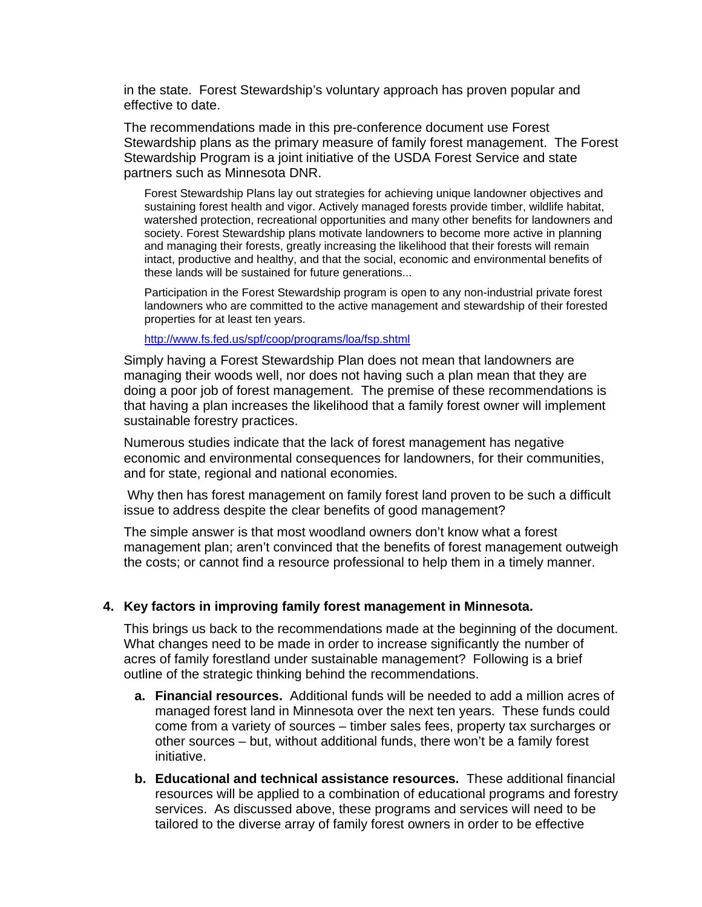in the state. Forest Stewardship's voluntary approach has proven popular and effective to date.

The recommendations made in this pre-conference document use Forest Stewardship plans as the primary measure of family forest management. The Forest Stewardship Program is a joint initiative of the USDA Forest Service and state partners such as Minnesota DNR.

Forest Stewardship Plans lay out strategies for achieving unique landowner objectives and sustaining forest health and vigor. Actively managed forests provide timber, wildlife habitat, watershed protection, recreational opportunities and many other benefits for landowners and society. Forest Stewardship plans motivate landowners to become more active in planning and managing their forests, greatly increasing the likelihood that their forests will remain intact, productive and healthy, and that the social, economic and environmental benefits of these lands will be sustained for future generations...

Participation in the Forest Stewardship program is open to any non-industrial private forest landowners who are committed to the active management and stewardship of their forested properties for at least ten years.

<http://www.fs.fed.us/spf/coop/programs/loa/fsp.shtml>

Simply having a Forest Stewardship Plan does not mean that landowners are managing their woods well, nor does not having such a plan mean that they are doing a poor job of forest management. The premise of these recommendations is that having a plan increases the likelihood that a family forest owner will implement sustainable forestry practices.

Numerous studies indicate that the lack of forest management has negative economic and environmental consequences for landowners, for their communities, and for state, regional and national economies.

 Why then has forest management on family forest land proven to be such a difficult issue to address despite the clear benefits of good management?

The simple answer is that most woodland owners don't know what a forest management plan; aren't convinced that the benefits of forest management outweigh the costs; or cannot find a resource professional to help them in a timely manner.

#### **4. Key factors in improving family forest management in Minnesota.**

This brings us back to the recommendations made at the beginning of the document. What changes need to be made in order to increase significantly the number of acres of family forestland under sustainable management? Following is a brief outline of the strategic thinking behind the recommendations.

- **a. Financial resources.** Additional funds will be needed to add a million acres of managed forest land in Minnesota over the next ten years. These funds could come from a variety of sources – timber sales fees, property tax surcharges or other sources – but, without additional funds, there won't be a family forest initiative.
- **b. Educational and technical assistance resources.** These additional financial resources will be applied to a combination of educational programs and forestry services. As discussed above, these programs and services will need to be tailored to the diverse array of family forest owners in order to be effective